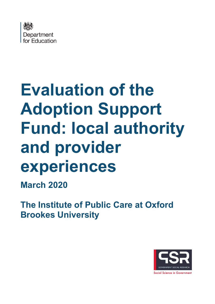

# **Evaluation of the Adoption Support Fund: local authority and provider experiences**

**March 2020**

**The Institute of Public Care at Oxford Brookes University**

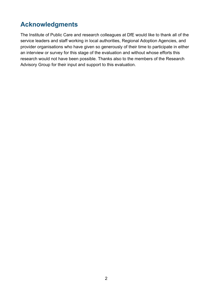# <span id="page-1-0"></span>**Acknowledgments**

The Institute of Public Care and research colleagues at DfE would like to thank all of the service leaders and staff working in local authorities, Regional Adoption Agencies, and provider organisations who have given so generously of their time to participate in either an interview or survey for this stage of the evaluation and without whose efforts this research would not have been possible. Thanks also to the members of the Research Advisory Group for their input and support to this evaluation.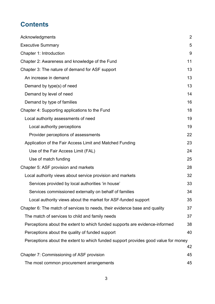# **Contents**

| Acknowledgments                                                                    | $\overline{2}$ |
|------------------------------------------------------------------------------------|----------------|
| <b>Executive Summary</b>                                                           | 5              |
| Chapter 1: Introduction                                                            | 9              |
| Chapter 2: Awareness and knowledge of the Fund                                     | 11             |
| Chapter 3: The nature of demand for ASF support                                    | 13             |
| An increase in demand                                                              | 13             |
| Demand by type(s) of need                                                          | 13             |
| Demand by level of need                                                            | 14             |
| Demand by type of families                                                         | 16             |
| Chapter 4: Supporting applications to the Fund                                     | 18             |
| Local authority assessments of need                                                | 19             |
| Local authority perceptions                                                        | 19             |
| Provider perceptions of assessments                                                | 22             |
| Application of the Fair Access Limit and Matched Funding                           | 23             |
| Use of the Fair Access Limit (FAL)                                                 | 24             |
| Use of match funding                                                               | 25             |
| Chapter 5: ASF provision and markets                                               | 28             |
| Local authority views about service provision and markets                          | 32             |
| Services provided by local authorities 'in house'                                  | 33             |
| Services commissioned externally on behalf of families                             | 34             |
| Local authority views about the market for ASF-funded support                      | 35             |
| Chapter 6: The match of services to needs, their evidence base and quality         | 37             |
| The match of services to child and family needs                                    | 37             |
| Perceptions about the extent to which funded supports are evidence-informed        | 38             |
| Perceptions about the quality of funded support                                    | 40             |
| Perceptions about the extent to which funded support provides good value for money | 42             |
| Chapter 7: Commissioning of ASF provision                                          | 45             |
| The most common procurement arrangements                                           | 45             |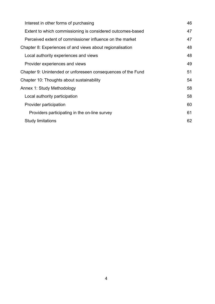| Interest in other forms of purchasing                        | 46 |
|--------------------------------------------------------------|----|
| Extent to which commissioning is considered outcomes-based   | 47 |
| Perceived extent of commissioner influence on the market     | 47 |
| Chapter 8: Experiences of and views about regionalisation    | 48 |
| Local authority experiences and views                        | 48 |
| Provider experiences and views                               | 49 |
| Chapter 9: Unintended or unforeseen consequences of the Fund | 51 |
| Chapter 10: Thoughts about sustainability                    | 54 |
| Annex 1: Study Methodology                                   | 58 |
| Local authority participation                                | 58 |
| Provider participation                                       | 60 |
| Providers participating in the on-line survey                | 61 |
| <b>Study limitations</b>                                     | 62 |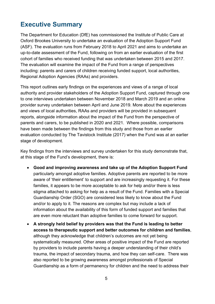# <span id="page-4-0"></span>**Executive Summary**

The Department for Education (DfE) has commissioned the Institute of Public Care at Oxford Brookes University to undertake an evaluation of the Adoption Support Fund (ASF). The evaluation runs from February 2018 to April 2021 and aims to undertake an up-to-date assessment of the Fund, following on from an earlier evaluation of the first cohort of families who received funding that was undertaken between 2015 and 2017. The evaluation will examine the impact of the Fund from a range of perspectives including: parents and carers of children receiving funded support, local authorities, Regional Adoption Agencies (RAAs) and providers.

This report outlines early findings on the experiences and views of a range of local authority and provider stakeholders of the Adoption Support Fund, captured through one to one interviews undertaken between November 2018 and March 2019 and an online provider survey undertaken between April and June 2019. More about the experiences and views of local authorities, RAAs and providers will be provided in subsequent reports, alongside information about the impact of the Fund from the perspective of parents and carers, to be published in 2020 and 2021. Where possible, comparisons have been made between the findings from this study and those from an earlier evaluation conducted by The Tavistock Institute (2017) when the Fund was at an earlier stage of development.

Key findings from the interviews and survey undertaken for this study demonstrate that, at this stage of the Fund's development, there is:

- **Good and improving awareness and take up of the Adoption Support Fund** particularly amongst adoptive families. Adoptive parents are reported to be more aware of 'their entitlement' to support and are increasingly requesting it. For these families, it appears to be more acceptable to ask for help and/or there is less stigma attached to asking for help as a result of the Fund. Families with a Special Guardianship Order (SGO) are considered less likely to know about the Fund and/or to apply to it. The reasons are complex but may include a lack of information about the availability of this form of funded support and families that are even more reluctant than adoptive families to come forward for support.
- **A strongly held belief by providers was that the Fund is leading to better access to therapeutic support and better outcomes for children and families**, although they acknowledge that children's outcomes are not yet being systematically measured. Other areas of positive impact of the Fund are reported by providers to include parents having a deeper understanding of their child's trauma, the impact of secondary trauma, and how they can self-care. There was also reported to be growing awareness amongst professionals of Special Guardianship as a form of permanency for children and the need to address their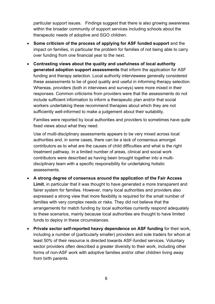particular support issues. Findings suggest that there is also growing awareness within the broader community of support services including schools about the therapeutic needs of adoptive and SGO children.

- **Some criticism of the process of applying for ASF funded support** and the impact on families, in particular the problem for families of not being able to carry over funding from one financial year to the next.
- **Contrasting views about the quality and usefulness of local authority generated adoption support assessments** that inform the application for ASF funding and therapy selection. Local authority interviewees generally considered these assessments to be of good quality and useful in informing therapy selection. Whereas, providers (both in interviews and surveys) were more mixed in their responses. Common criticisms from providers were that the assessments do not include sufficient information to inform a therapeutic plan and/or that social workers undertaking these recommend therapies about which they are not sufficiently well-informed to make a judgement about their suitability.

Families were reported by local authorities and providers to sometimes have quite fixed views about what they need.

Use of multi-disciplinary assessments appears to be very mixed across local authorities and, in some cases, there can be a lack of consensus amongst contributors as to what are the causes of child difficulties and what is the right treatment pathway. In a limited number of areas, clinical and social work contributors were described as having been brought together into a multidisciplinary team with a specific responsibility for undertaking holistic assessments.

- **A strong degree of consensus around the application of the Fair Access Limit**, in particular that it was thought to have generated a more transparent and fairer system for families. However, many local authorities and providers also expressed a strong view that more flexibility is required for the small number of families with very complex needs or risks. They did not believe that the arrangements for match funding by local authorities currently respond adequately to these scenarios, mainly because local authorities are thought to have limited funds to deploy in these circumstances.
- **Private sector self-reported heavy dependence on ASF funding** for their work, including a number of (particularly smaller) providers and sole traders for whom at least 50% of their resource is directed towards ASF-funded services. Voluntary sector providers often described a greater diversity to their work, including other forms of non-ASF work with adoptive families and/or other children living away from birth parents.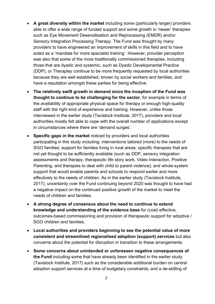- **A great diversity within the market** including some (particularly larger) providers able to offer a wide range of funded support and some growth in 'newer' therapies such as Eye Movement Desensitisation and Reprocessing (EMDR) and/or Sensory Integration Processing Therapy. The Fund was thought by many providers to have engineered an improvement of skills in this field and to have acted as a 'mandate for more specialist training'. However, provider perception was also that some of the more traditionally commissioned therapies, including those that are dyadic and systemic, such as Dyadic Developmental Practice (DDP), or Theraplay continue to be more frequently requested by local authorities because they are well established, known by social workers and families, and have a reputation amongst these parties for being effective.
- **The relatively swift growth in demand since the inception of the Fund was thought to continue to be challenging for the sector**, for example in terms of the availability of appropriate physical space for therapy or enough high-quality staff with the right kind of experience and training. However, unlike those interviewed in the earlier study (Tavistock Institute, 2017), providers and local authorities mostly felt able to cope with the overall number of applications except in circumstances where there are 'demand surges'.
- **Specific gaps in the market** noticed by providers and local authorities participating in this study including: interventions tailored (more) to the needs of SGO families; support for families living in rural areas; specific therapies that are not yet thought to be sufficiently available (such as DDP, sensory integration assessments and therapy, therapeutic life story work, Video Interaction, Positive Parenting, and therapies to deal with child to parent violence); and whole-system support that would enable parents and schools to respond earlier and more effectively to the needs of children. As in the earlier study (Tavistock Institute, 2017), uncertainty over the Fund continuing beyond 2020 was thought to have had a negative impact on the continued positive growth of the market to meet the needs of children and families.
- **A strong degree of consensus about the need to continue to extend knowledge and understanding of the evidence base** for (cost) effective, outcomes-based commissioning and provision of therapeutic support for adoptive / SGO children and families.
- **Local authorities and providers beginning to see the potential value of more consistent and streamlined regionalised adoption (support) services** but also concerns about the potential for disruption in transition to these arrangements.
- **Some concerns about unintended or unforeseen negative consequences of the Fund** including some that have already been identified in the earlier study (Tavistock Institute, 2017) such as the considerable additional burden on central adoption support services at a time of budgetary constraints; and a de-skilling of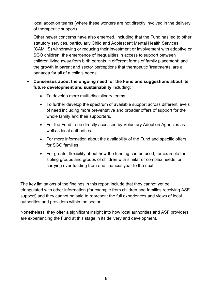local adoption teams (where these workers are not directly involved in the delivery of therapeutic support).

Other newer concerns have also emerged, including that the Fund has led to other statutory services, particularly Child and Adolescent Mental Health Services (CAMHS) withdrawing or reducing their investment or involvement with adoptive or SGO children; the emergence of inequalities in access to support between children living away from birth parents in different forms of family placement; and the growth in parent and sector perceptions that therapeutic 'treatments' are a panacea for all of a child's needs.

#### • **Consensus about the ongoing need for the Fund and suggestions about its future development and sustainability** including:

- To develop more multi-disciplinary teams.
- To further develop the spectrum of available support across different levels of need including more preventative and broader offers of support for the whole family and their supporters.
- For the Fund to be directly accessed by Voluntary Adoption Agencies as well as local authorities.
- For more information about the availability of the Fund and specific offers for SGO families.
- For greater flexibility about how the funding can be used, for example for sibling groups and groups of children with similar or complex needs, or carrying over funding from one financial year to the next.

The key limitations of the findings in this report include that they cannot yet be triangulated with other information (for example from children and families receiving ASF support) and they cannot be said to represent the full experiences and views of local authorities and providers within the sector.

Nonetheless, they offer a significant insight into how local authorities and ASF providers are experiencing the Fund at this stage in its delivery and development.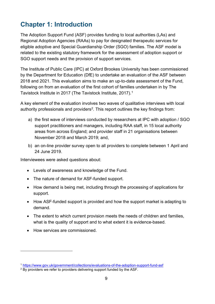# <span id="page-8-0"></span>**Chapter 1: Introduction**

The Adoption Support Fund (ASF) provides funding to local authorities (LAs) and Regional Adoption Agencies (RAAs) to pay for designated therapeutic services for eligible adoptive and Special Guardianship Order (SGO) families. The ASF model is related to the existing statutory framework for the assessment of adoption support or SGO support needs and the provision of support services.

The Institute of Public Care (IPC) at Oxford Brookes University has been commissioned by the Department for Education (DfE) to undertake an evaluation of the ASF between 2018 and 2021. This evaluation aims to make an up-to-date assessment of the Fund, following on from an evaluation of the first cohort of families undertaken in by The Tavistock Institute in 2017 (The Tavistock Institute, 2017). [1](#page-8-1)

A key element of the evaluation involves two waves of qualitative interviews with local authority professionals and providers<sup>2</sup>. This report outlines the key findings from:

- a) the first wave of interviews conducted by researchers at IPC with adoption / SGO support practitioners and managers, including RAA staff, in 15 local authority areas from across England; and provider staff in 21 organisations between November 2018 and March 2019; and,
- b) an on-line provider survey open to all providers to complete between 1 April and 24 June 2019.

Interviewees were asked questions about:

- Levels of awareness and knowledge of the Fund.
- The nature of demand for ASF-funded support.
- How demand is being met, including through the processing of applications for support.
- How ASF-funded support is provided and how the support market is adapting to demand.
- The extent to which current provision meets the needs of children and families, what is the quality of support and to what extent it is evidence-based.
- How services are commissioned.

<span id="page-8-1"></span><sup>1</sup> <https://www.gov.uk/government/collections/evaluations-of-the-adoption-support-fund-asf>

<span id="page-8-2"></span><sup>&</sup>lt;sup>2</sup> By providers we refer to providers delivering support funded by the ASF.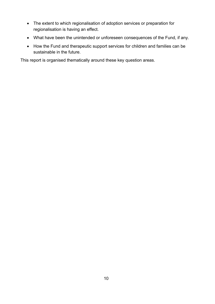- The extent to which regionalisation of adoption services or preparation for regionalisation is having an effect.
- What have been the unintended or unforeseen consequences of the Fund, if any.
- How the Fund and therapeutic support services for children and families can be sustainable in the future.

This report is organised thematically around these key question areas.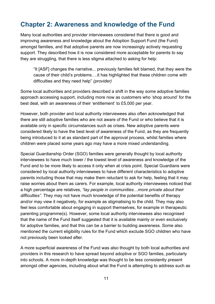## <span id="page-10-0"></span>**Chapter 2: Awareness and knowledge of the Fund**

Many local authorities and provider interviewees considered that there is good and improving awareness and knowledge about the Adoption Support Fund (the Fund) amongst families, and that adoptive parents are now increasingly actively requesting support. They described how it is now considered more acceptable for parents to say they are struggling, that there is less stigma attached to asking for help:

"It [ASF] changes the narrative... previously families felt blamed, that they were the cause of their child's problems….it has highlighted that these children come with difficulties and they need help" *(provider)*

Some local authorities and providers described a shift in the way some adoptive families approach accessing support, including more now as customers who 'shop around' for the best deal, with an awareness of their 'entitlement' to £5,000 per year.

However, both provider and local authority interviewees also often acknowledged that there are still adoptive families who are not aware of the Fund or who believe that it is available only in specific circumstances such as crises. New adoptive parents were considered likely to have the best level of awareness of the Fund, as they are frequently being introduced to it at as standard part of the approval process, whilst families where children were placed some years ago may have a more mixed understanding.

Special Guardianship Order (SGO) families were generally thought by local authority interviewees to have much lower / the lowest level of awareness and knowledge of the Fund and to be more likely to access it only when at crisis point. Special Guardians were considered by local authority interviewees to have different characteristics to adoptive parents including those that may make them reluctant to ask for help, feeling that it may raise worries about them as carers. For example, local authority interviewees noticed that a high percentage are relatives, *"lay people in communities…more private about their difficulties".* They may not have much knowledge of the potential benefits of therapy and/or may view it negatively, for example as stigmatising to the child. They may also feel less comfortable about engaging in support themselves, for example in therapeutic parenting programme(s). However, some local authority interviewees also recognised that the name of the Fund itself suggested that it is available mainly or even exclusively for adoptive families, and that this can be a barrier to building awareness. Some also mentioned the current eligibility rules for the Fund which exclude SGO children who have not previously been looked after.

A more superficial awareness of the Fund was also thought by both local authorities and providers in this research to have spread beyond adoptive or SGO families, particularly into schools. A more in-depth knowledge was thought to be less consistently present amongst other agencies, including about what the Fund is attempting to address such as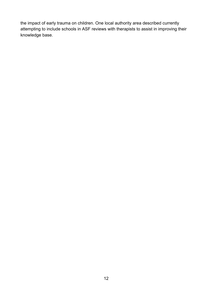the impact of early trauma on children. One local authority area described currently attempting to include schools in ASF reviews with therapists to assist in improving their knowledge base.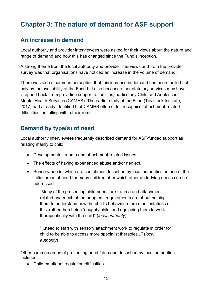# <span id="page-12-0"></span>**Chapter 3: The nature of demand for ASF support**

## <span id="page-12-1"></span>**An increase in demand**

Local authority and provider interviewees were asked for their views about the nature and range of demand and how this has changed since the Fund's inception.

A strong theme from the local authority and provider interviews and from the provider survey was that organisations have noticed an increase in the volume of demand.

There was also a common perception that this increase in demand has been fuelled not only by the availability of the Fund but also because other statutory services may have 'stepped back' from providing support to families, particularly Child and Adolescent Mental Health Services (CAMHS). The earlier study of the Fund (Tavistock Institute, 2017) had already identified that CAMHS often didn't recognise 'attachment-related difficulties' as falling within their remit.

## <span id="page-12-2"></span>**Demand by type(s) of need**

Local authority interviewees frequently described demand for ASF-funded support as relating mainly to child:

- Developmental trauma and attachment-related issues.
- The effects of having experienced abuse and/or neglect.
- Sensory needs, which are sometimes described by local authorities as one of the initial areas of need for many children after which other underlying needs can be addressed.

"Many of the presenting child needs are trauma and attachmentrelated and much of the adopters' requirements are about helping them to understand how the child's behaviours are manifestations of this, rather than being 'naughty child' and equipping them to work therapeutically with the child" (*local authority*)

"...need to start with sensory attachment work to regulate in order for child to be able to access more specialist therapies..." (*local authority*)

Other common areas of presenting need / demand described by local authorities included:

• Child emotional regulation difficulties.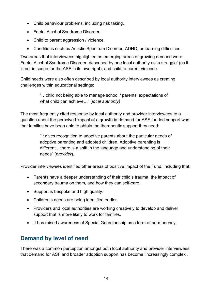- Child behaviour problems, including risk taking.
- Foetal Alcohol Syndrome Disorder.
- Child to parent aggression / violence.
- Conditions such as Autistic Spectrum Disorder, ADHD, or learning difficulties.

Two areas that interviewees highlighted as emerging areas of growing demand were Foetal Alcohol Syndrome Disorder, described by one local authority as 'a struggle' (as it is not in scope for the ASF in its own right); and child to parent violence.

Child needs were also often described by local authority interviewees as creating challenges within educational settings:

> "…child not being able to manage school / parents' expectations of what child can achieve…" (*local authority)*

The most frequently cited response by local authority and provider interviewees to a question about the perceived impact of a growth in demand for ASF-funded support was that families have been able to obtain the therapeutic support they need:

> "It gives recognition to adoptive parents about the particular needs of adoptive parenting and adopted children. Adoptive parenting is different... there is a shift in the language and understanding of their needs" (*provider*).

Provider interviewees identified other areas of positive impact of the Fund, including that:

- Parents have a deeper understanding of their child's trauma, the impact of secondary trauma on them, and how they can self-care.
- Support is bespoke and high quality.
- Children's needs are being identified earlier.
- Providers and local authorities are working creatively to develop and deliver support that is more likely to work for families.
- It has raised awareness of Special Guardianship as a form of permanency.

## <span id="page-13-0"></span>**Demand by level of need**

There was a common perception amongst both local authority and provider interviewees that demand for ASF and broader adoption support has become 'increasingly complex'.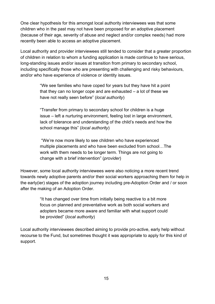One clear hypothesis for this amongst local authority interviewees was that some children who in the past may not have been proposed for an adoptive placement (because of their age, severity of abuse and neglect and/or complex needs) had more recently been able to access an adoptive placement.

Local authority and provider interviewees still tended to consider that a greater proportion of children in relation to whom a funding application is made continue to have serious, long-standing issues and/or issues at transition from primary to secondary school, including specifically those who are presenting with challenging and risky behaviours, and/or who have experience of violence or identity issues.

> "We see families who have coped for years but they have hit a point that they can no longer cope and are exhausted – a lot of these we have not really seen before" (*local authority*)

"Transfer from primary to secondary school for children is a huge issue – left a nurturing environment, feeling lost in large environment, lack of tolerance and understanding of the child's needs and how the school manage this" (*local authority*)

"We're now more likely to see children who have experienced multiple placements and who have been excluded from school…The work with them needs to be longer term. Things are not going to change with a brief intervention" (*provider*)

However, some local authority interviewees were also noticing a more recent trend towards newly adoptive parents and/or their social workers approaching them for help in the early(ier) stages of the adoption journey including pre-Adoption Order and / or soon after the making of an Adoption Order.

> "It has changed over time from initially being reactive to a bit more focus on planned and preventative work as both social workers and adopters became more aware and familiar with what support could be provided" (*local authority*)

Local authority interviewees described aiming to provide pro-active, early help without recourse to the Fund, but sometimes thought it was appropriate to apply for this kind of support.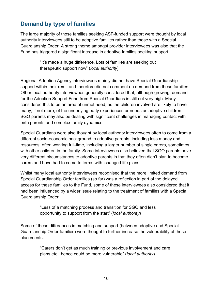## <span id="page-15-0"></span>**Demand by type of families**

The large majority of those families seeking ASF-funded support were thought by local authority interviewees still to be adoptive families rather than those with a Special Guardianship Order. A strong theme amongst provider interviewees was also that the Fund has triggered a significant increase in adoptive families seeking support.

> "It's made a huge difference. Lots of families are seeking out therapeutic support now" (*local authority*)

Regional Adoption Agency interviewees mainly did not have Special Guardianship support within their remit and therefore did not comment on demand from these families. Other local authority interviewees generally considered that, although growing, demand for the Adoption Support Fund from Special Guardians is still not very high. Many considered this to be an area of unmet need, as the children involved are likely to have many, if not more, of the underlying early experiences or needs as adoptive children. SGO parents may also be dealing with significant challenges in managing contact with birth parents and complex family dynamics.

Special Guardians were also thought by local authority interviewees often to come from a different socio-economic background to adoptive parents, including less money and resources, often working full-time, including a larger number of single carers, sometimes with other children in the family. Some interviewees also believed that SGO parents have very different circumstances to adoptive parents in that they often didn't plan to become carers and have had to come to terms with 'changed life plans'.

Whilst many local authority interviewees recognised that the more limited demand from Special Guardianship Order families (so far) was a reflection in part of the delayed access for these families to the Fund, some of these interviewees also considered that it had been influenced by a wider issue relating to the treatment of families with a Special Guardianship Order.

> "Less of a matching process and transition for SGO and less opportunity to support from the start" (*local authority*)

Some of these differences in matching and support (between adoptive and Special Guardianship Order families) were thought to further increase the vulnerability of these placements.

> "Carers don't get as much training or previous involvement and care plans etc., hence could be more vulnerable" (*local authority*)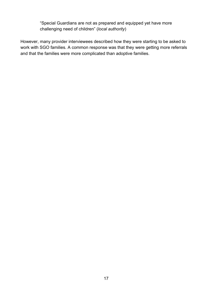"Special Guardians are not as prepared and equipped yet have more challenging need of children" (*local authority*)

However, many provider interviewees described how they were starting to be asked to work with SGO families. A common response was that they were getting more referrals and that the families were more complicated than adoptive families.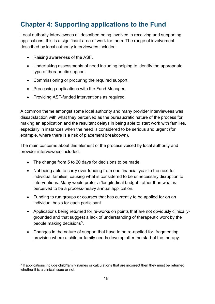# <span id="page-17-0"></span>**Chapter 4: Supporting applications to the Fund**

Local authority interviewees all described being involved in receiving and supporting applications, this is a significant area of work for them. The range of involvement described by local authority interviewees included:

- Raising awareness of the ASF.
- Undertaking assessments of need including helping to identify the appropriate type of therapeutic support.
- Commissioning or procuring the required support.
- Processing applications with the Fund Manager.
- Providing ASF-funded interventions as required.

A common theme amongst some local authority and many provider interviewees was dissatisfaction with what they perceived as the bureaucratic nature of the process for making an application and the resultant delays in being able to start work with families, especially in instances when the need is considered to be serious and urgent (for example, where there is a risk of placement breakdown).

The main concerns about this element of the process voiced by local authority and provider interviewees included:

- The change from 5 to 20 days for decisions to be made.
- Not being able to carry over funding from one financial year to the next for individual families, causing what is considered to be unnecessary disruption to interventions. Many would prefer a 'longitudinal budget' rather than what is perceived to be a process-heavy annual application.
- Funding to run groups or courses that has currently to be applied for on an individual basis for each participant.
- Applications being returned for re-works on points that are not obviously clinicallygrounded and that suggest a lack of understanding of therapeutic work by the people making decisions[3](#page-17-1).
- Changes in the nature of support that have to be re-applied for, fragmenting provision where a child or family needs develop after the start of the therapy.

<span id="page-17-1"></span><sup>&</sup>lt;sup>3</sup> If applications include child/family names or calculations that are incorrect then they must be returned whether it is a clinical issue or not.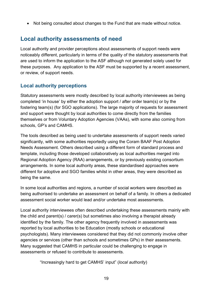• Not being consulted about changes to the Fund that are made without notice.

## <span id="page-18-0"></span>**Local authority assessments of need**

Local authority and provider perceptions about assessments of support needs were noticeably different, particularly in terms of the quality of the statutory assessments that are used to inform the application to the ASF although not generated solely used for these purposes. Any application to the ASF must be supported by a recent assessment, or review, of support needs.

#### <span id="page-18-1"></span>**Local authority perceptions**

Statutory assessments were mostly described by local authority interviewees as being completed 'in house' by either the adoption support / after order team(s) or by the fostering team(s) (for SGO applications). The large majority of requests for assessment and support were thought by local authorities to come directly from the families themselves or from Voluntary Adoption Agencies (VAAs), with some also coming from schools, GP's and CAMHS.

The tools described as being used to undertake assessments of support needs varied significantly, with some authorities reportedly using the Coram BAAF Post Adoption Needs Assessment. Others described using a different form of standard process and template, including those developed collaboratively as local authorities merged into Regional Adoption Agency (RAA) arrangements, or by previously existing consortium arrangements. In some local authority areas, these standardised approaches were different for adoptive and SGO families whilst in other areas, they were described as being the same.

In some local authorities and regions, a number of social workers were described as being authorised to undertake an assessment on behalf of a family. In others a dedicated assessment social worker would lead and/or undertake most assessments.

Local authority interviewees often described undertaking these assessments mainly with the child and parent(s) / carer(s) but sometimes also involving a therapist already identified by the family. The other agency frequently involved in assessments was reported by local authorities to be Education (mostly schools or educational psychologists). Many interviewees considered that they did not commonly involve other agencies or services (other than schools and sometimes GPs) in their assessments. Many suggested that CAMHS in particular could be challenging to engage in assessments or refused to contribute to assessments.

"Increasingly hard to get CAMHS' input" (*local authority*)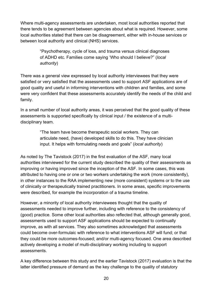Where multi-agency assessments are undertaken, most local authorities reported that there tends to be agreement between agencies about what is required. However, some local authorities stated that there can be disagreement, either with in-house services or between local authority and clinical (NHS) services.

> "Psychotherapy, cycle of loss, and trauma versus clinical diagnoses of ADHD etc. Families come saying 'Who should I believe?" (*local authority*)

There was a general view expressed by local authority interviewees that they were satisfied or very satisfied that the assessments used to support ASF applications are of good quality and useful in informing interventions with children and families, and some were very confident that these assessments accurately identify the needs of the child and family.

In a small number of local authority areas, it was perceived that the good quality of these assessments is supported specifically by clinical input / the existence of a multidisciplinary team.

> "The team have become therapeutic social workers. They can articulate need, (have) developed skills to do this. They have clinician input. It helps with formulating needs and goals" (*local authority*)

As noted by The Tavistock (2017) in the first evaluation of the ASF, many local authorities interviewed for the current study described the quality of their assessments as improving or having improved since the inception of the ASF. In some cases, this was attributed to having one or one or two workers undertaking the work (more consistently), in other instances to the RAA implementing new (more consistent) systems or to the use of clinically or therapeutically trained practitioners. In some areas, specific improvements were described, for example the incorporation of a trauma timeline.

However, a minority of local authority interviewees thought that the quality of assessments needed to improve further, including with reference to the consistency of (good) practice. Some other local authorities also reflected that, although generally good, assessments used to support ASF applications should be expected to continually improve, as with all services. They also sometimes acknowledged that assessments could become over-formulaic with reference to what interventions ASF will fund; or that they could be more outcomes-focused; and/or multi-agency focused. One area described actively developing a model of multi-disciplinary working including to support assessments.

A key difference between this study and the earlier Tavistock (2017) evaluation is that the latter identified pressure of demand as the key challenge to the quality of statutory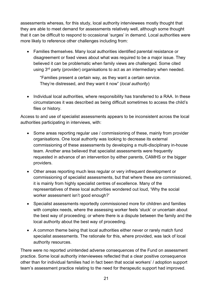assessments whereas, for this study, local authority interviewees mostly thought that they are able to meet demand for assessments relatively well, although some thought that it can be difficult to respond to occasional 'surges' in demand. Local authorities were more likely to reference other challenges including from:

• Families themselves. Many local authorities identified parental resistance or disagreement or fixed views about what was required to be a major issue. They believed it can be problematic when family views are challenged. Some cited using 3<sup>rd</sup> party (provider) organisations to act as an intermediary when needed.

"Families present a certain way, as they want a certain service. They're distressed, and they want it now" (*local authority*)

• Individual local authorities, where responsibility has transferred to a RAA. In these circumstances it was described as being difficult sometimes to access the child's files or history.

Access to and use of specialist assessments appears to be inconsistent across the local authorities participating in interviews, with:

- Some areas reporting regular use / commissioning of these, mainly from provider organisations. One local authority was looking to decrease its external commissioning of these assessments by developing a multi-disciplinary in-house team. Another area believed that specialist assessments were frequently requested in advance of an intervention by either parents, CAMHS or the bigger providers.
- Other areas reporting much less regular or very infrequent development or commissioning of specialist assessments, but that where these are commissioned, it is mainly from highly specialist centres of excellence. Many of the representatives of these local authorities wondered out loud, 'Why the social worker assessment isn't good enough?'
- Specialist assessments reportedly commissioned more for children and families with complex needs, where the assessing worker feels 'stuck' or uncertain about the best way of proceeding; or where there is a dispute between the family and the local authority about the best way of proceeding.
- A common theme being that local authorities either never or rarely match fund specialist assessments. The rationale for this, where provided, was lack of local authority resources.

There were no reported unintended adverse consequences of the Fund on assessment practice. Some local authority interviewees reflected that a clear positive consequence other than for individual families had in fact been that social workers' / adoption support team's assessment practice relating to the need for therapeutic support had improved.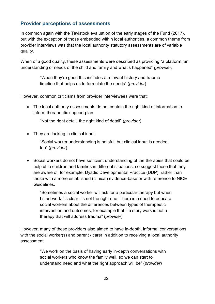#### <span id="page-21-0"></span>**Provider perceptions of assessments**

In common again with the Tavistock evaluation of the early stages of the Fund (2017), but with the exception of those embedded within local authorities, a common theme from provider interviews was that the local authority statutory assessments are of variable quality.

When of a good quality, these assessments were described as providing "a platform, an understanding of needs of the child and family and what's happened" *(provider).*

> "When they're good this includes a relevant history and trauma timeline that helps us to formulate the needs" (*provider*)

However, common criticisms from provider interviewees were that:

• The local authority assessments do not contain the right kind of information to inform therapeutic support plan

"Not the right detail, the right kind of detail" (*provider*)

• They are lacking in clinical input.

"Social worker understanding is helpful, but clinical input is needed too" (*provider*)

• Social workers do not have sufficient understanding of the therapies that could be helpful to children and families in different situations, so suggest those that they are aware of, for example, Dyadic Developmental Practice (DDP), rather than those with a more established (clinical) evidence-base or with reference to NICE **Guidelines** 

"Sometimes a social worker will ask for a particular therapy but when I start work it's clear it's not the right one. There is a need to educate social workers about the differences between types of therapeutic intervention and outcomes, for example that life story work is not a therapy that will address trauma" (*provider*)

However, many of these providers also aimed to have in-depth, informal conversations with the social worker(s) and parent / carer in addition to receiving a local authority assessment.

> "We work on the basis of having early in-depth conversations with social workers who know the family well, so we can start to understand need and what the right approach will be" (*provider*)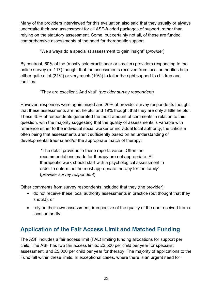Many of the providers interviewed for this evaluation also said that they usually or always undertake their own assessment for all ASF-funded packages of support, rather than relying on the statutory assessment. Some, but certainly not all, of these are funded comprehensive assessments of the need for therapeutic support.

"We always do a specialist assessment to gain insight" (*provider*)

By contrast, 50% of the (mostly sole practitioner or smaller) providers responding to the online survey (n. 117) thought that the assessments received from local authorities help either quite a lot (31%) or very much (19%) to tailor the right support to children and families.

#### "They are excellent. And vital" *(provider survey respondent)*

However, responses were again mixed and 26% of provider survey respondents thought that these assessments are not helpful and 19% thought that they are only a little helpful. These 45% of respondents generated the most amount of comments in relation to this question, with the majority suggesting that the quality of assessments is variable with reference either to the individual social worker or individual local authority, the criticism often being that assessments aren't sufficiently based on an understanding of developmental trauma and/or the appropriate match of therapy:

> "The detail provided in these reports varies. Often the recommendations made for therapy are not appropriate. All therapeutic work should start with a psychological assessment in order to determine the most appropriate therapy for the family" (*provider survey respondent*)

Other comments from survey respondents included that they (the provider):

- do not receive these local authority assessments in practice (but thought that they should); or
- rely on their own assessment, irrespective of the quality of the one received from a local authority.

## <span id="page-22-0"></span>**Application of the Fair Access Limit and Matched Funding**

The ASF includes a fair access limit (FAL) limiting funding allocations for support per child. The ASF has two fair access limits: £2,500 per child per year for specialist assessment; and £5,000 per child per year for therapy. The majority of applications to the Fund fall within these limits. In exceptional cases, where there is an urgent need for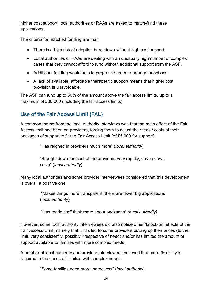higher cost support, local authorities or RAAs are asked to match-fund these applications.

The criteria for matched funding are that:

- There is a high risk of adoption breakdown without high cost support.
- Local authorities or RAAs are dealing with an unusually high number of complex cases that they cannot afford to fund without additional support from the ASF.
- Additional funding would help to progress harder to arrange adoptions.
- A lack of available, affordable therapeutic support means that higher cost provision is unavoidable.

The ASF can fund up to 50% of the amount above the fair access limits, up to a maximum of £30,000 (including the fair access limits).

#### <span id="page-23-0"></span>**Use of the Fair Access Limit (FAL)**

A common theme from the local authority interviews was that the main effect of the Fair Access limit had been on providers, forcing them to adjust their fees / costs of their packages of support to fit the Fair Access Limit (of £5,000 for support).

"Has reigned in providers much more" (*local authority*)

"Brought down the cost of the providers very rapidly, driven down costs" (*local authority*)

Many local authorities and some provider interviewees considered that this development is overall a positive one:

> "Makes things more transparent, there are fewer big applications" (*local authority*)

"Has made staff think more about packages" *(local authority)*

However, some local authority interviewees did also notice other 'knock-on' effects of the Fair Access Limit, namely that it has led to some providers putting up their prices (to the limit, very consistently, possibly irrespective of need) and/or has limited the amount of support available to families with more complex needs.

A number of local authority and provider interviewees believed that more flexibility is required in the cases of families with complex needs.

"Some families need more, some less" (*local authority*)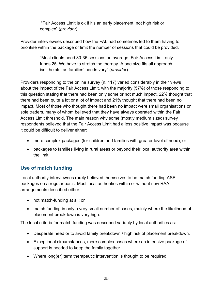"Fair Access Limit is ok if it's an early placement, not high risk or complex" (*provider*)

Provider interviewees described how the FAL had sometimes led to them having to prioritise within the package or limit the number of sessions that could be provided.

> "Most clients need 30-35 sessions on average. Fair Access Limit only funds 25. We have to stretch the therapy. A one size fits all approach isn't helpful as families' needs vary" (*provider*)

Providers responding to the online survey (n. 117) varied considerably in their views about the impact of the Fair Access Limit, with the majority (57%) of those responding to this question stating that there had been only some or not much impact. 22% thought that there had been quite a lot or a lot of impact and 21% thought that there had been no impact. Most of those who thought there had been no impact were small organisations or sole traders, many of whom believed that they have always operated within the Fair Access Limit threshold. The main reason why some (mostly medium sized) survey respondents believed that the Fair Access Limit had a less positive impact was because it could be difficult to deliver either:

- more complex packages (for children and families with greater level of need); or
- packages to families living in rural areas or beyond their local authority area within the limit.

#### <span id="page-24-0"></span>**Use of match funding**

Local authority interviewees rarely believed themselves to be match funding ASF packages on a regular basis. Most local authorities within or without new RAA arrangements described either:

- not match-funding at all: or
- match funding in only a very small number of cases, mainly where the likelihood of placement breakdown is very high.

The local criteria for match funding was described variably by local authorities as:

- Desperate need or to avoid family breakdown / high risk of placement breakdown.
- Exceptional circumstances, more complex cases where an intensive package of support is needed to keep the family together.
- Where long(er) term therapeutic intervention is thought to be required.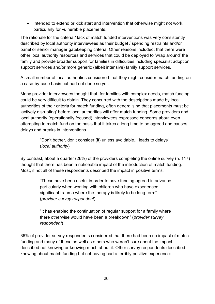• Intended to extend or kick start and intervention that otherwise might not work, particularly for vulnerable placements.

The rationale for the criteria / lack of match funded interventions was very consistently described by local authority interviewees as their budget / spending restraints and/or panel or senior manager gatekeeping criteria. Other reasons included: that there were other local authority resources and services that could be deployed to 'wrap around' the family and provide broader support for families in difficulties including specialist adoption support services and/or more generic (albeit intensive) family support services.

A small number of local authorities considered that they might consider match funding on a case-by-case basis but had not done so yet.

Many provider interviewees thought that, for families with complex needs, match funding could be very difficult to obtain. They concurred with the descriptions made by local authorities of their criteria for match funding, often generalising that placements must be 'actively disrupting' before local authorities will offer match funding. Some providers and local authority (operationally focused) interviewees expressed concerns about even attempting to match fund on the basis that it takes a long time to be agreed and causes delays and breaks in interventions.

> "Don't bother, don't consider (it) unless avoidable... leads to delays" (*local authority*)

By contrast, about a quarter (26%) of the providers completing the online survey (n. 117) thought that there has been a noticeable impact of the introduction of match funding. Most, if not all of these respondents described the impact in positive terms:

> "These have been useful in order to have funding agreed in advance, particularly when working with children who have experienced significant trauma where the therapy is likely to be long-term" (*provider survey respondent*)

"It has enabled the continuation of regular support for a family where there otherwise would have been a breakdown" (*provider survey respondent*)

36% of provider survey respondents considered that there had been no impact of match funding and many of these as well as others who weren't sure about the impact described not knowing or knowing much about it. Other survey respondents described knowing about match funding but not having had a terribly positive experience: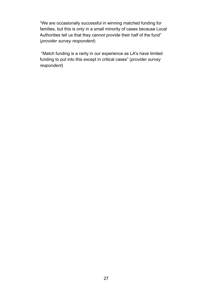"We are occasionally successful in winning matched funding for families, but this is only in a small minority of cases because Local Authorities tell us that they cannot provide their half of the fund" (*provider survey respondent*)

"Match funding is a rarity in our experience as LA's have limited funding to put into this except in critical cases" (*provider survey respondent*)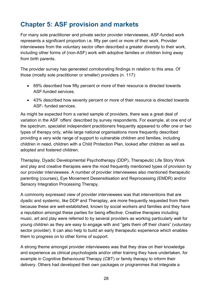# <span id="page-27-0"></span>**Chapter 5: ASF provision and markets**

For many sole practitioner and private sector provider interviewees, ASF-funded work represents a significant proportion i.e. fifty per cent or more of their work. Provider interviewees from the voluntary sector often described a greater diversity to their work, including other forms of (non-ASF) work with adoptive families or children living away from birth parents.

The provider survey has generated corroborating findings in relation to this area. Of those (mostly sole practitioner or smaller) providers (n. 117):

- 69% described how fifty percent or more of their resource is directed towards ASF-funded services.
- 43% described how seventy percent or more of their resource is directed towards ASF- funded services.

As might be expected from a varied sample of providers, there was a great deal of variation in the ASF 'offers' described by survey respondents. For example, at one end of the spectrum, specialist independent practitioners frequently appeared to offer one or two types of therapy only, while large national organisations more frequently described providing a very wide range of support to vulnerable children and families, including children in need, children with a Child Protection Plan, looked after children as well as adopted and fostered children.

Theraplay, Dyadic Developmental Psychotherapy (DDP), Therapeutic Life Story Work and play and creative therapies were the most frequently mentioned types of provision by our provider interviewees. A number of provider interviewees also mentioned therapeutic parenting (courses), Eye Movement Desensitisation and Reprocessing (EMDR) and/or Sensory Integration Processing Therapy.

A commonly expressed view of provider interviewees was that interventions that are dyadic and systemic, like DDP and Theraplay, are more frequently requested from them because these are well-established, known by social workers and families and they have a reputation amongst these parties for being effective. Creative therapies including music, art and play were referred to by several providers as working particularly well for young children as they are easy to engage with and "gets them off their chairs" (voluntary sector provider). It can also help to build an early therapeutic experience which enables them to progress on to other forms of support.

A strong theme amongst provider interviewees was that they draw on their knowledge and experience as clinical psychologists and/or other training they have undertaken, for example in Cognitive Behavioural Therapy (CBT) or family therapy to inform their delivery. Others had developed their own packages or programmes that integrate a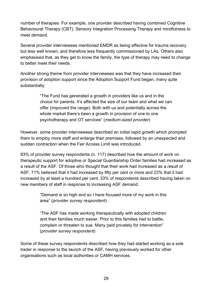number of therapies. For example, one provider described having combined Cognitive Behavioural Therapy (CBT), Sensory Integration Processing Therapy and mindfulness to meet demand.

Several provider interviewees mentioned EMDR as being effective for trauma recovery but less well known, and therefore less frequently commissioned by LAs. Others also emphasised that, as they get to know the family, the type of therapy may need to change to better meet their needs.

Another strong theme from provider interviewees was that they have increased their provision of adoption support since the Adoption Support Fund began, many quite substantially.

> "The Fund has generated a growth in providers like us and in the choice for parents. It's affected the size of our team and what we can offer (improved the range). Both with us and potentially across the whole market there's been a growth in provision of one to one psychotherapy and OT services" (*medium-sized provider*)

However, some provider interviewees described an initial rapid growth which prompted them to employ more staff and enlarge their premises, followed by an unexpected and sudden contraction when the Fair Access Limit was introduced.

83% of provider survey respondents (n. 117) described how the amount of work on therapeutic support for adoptive or Special Guardianship Order families had increased as a result of the ASF. Of those who thought that their work had increased as a result of ASF, 71% believed that it had increased by fifty per cent or more and 23% that it had increased by at least a hundred per cent. 33% of respondents described having taken on new members of staff in response to increasing ASF demand.

> "Demand is so high and so I have focused more of my work in this area" (*provider survey respondent*)

> "The ASF has made working therapeutically with adopted children and their families much easier. Prior to this families had to battle, complain or threaten to sue. Many paid privately for intervention" (*provider survey respondent*)

Some of these survey respondents described how they had started working as a sole trader in response to the launch of the ASF, having previously worked for other organisations such as local authorities or CAMH services.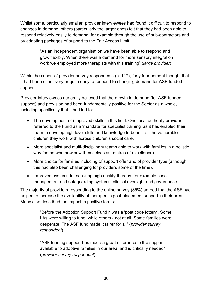Whilst some, particularly smaller, provider interviewees had found it difficult to respond to changes in demand, others (particularly the larger ones) felt that they had been able to respond relatively easily to demand, for example through the use of sub-contractors and by adapting packages of support to the Fair Access Limit.

> "As an independent organisation we have been able to respond and grow flexibly. When there was a demand for more sensory integration work we employed more therapists with this training" (*large provider*)

Within the cohort of provider survey respondents (n. 117), forty four percent thought that it had been either very or quite easy to respond to changing demand for ASF-funded support.

Provider interviewees generally believed that the growth in demand (for ASF-funded support) and provision had been fundamentally positive for the Sector as a whole, including specifically that it had led to:

- The development of (improved) skills in this field. One local authority provider referred to the Fund as a 'mandate for specialist training' as it has enabled their team to develop high level skills and knowledge to benefit all the vulnerable children they work with across children's social care.
- More specialist and multi-disciplinary teams able to work with families in a holistic way (some who now saw themselves as centres of excellence).
- More choice for families including of support offer and of provider type (although this had also been challenging for providers some of the time).
- Improved systems for securing high quality therapy, for example case management and safeguarding systems, clinical oversight and governance.

The majority of providers responding to the online survey (85%) agreed that the ASF had helped to increase the availability of therapeutic post-placement support in their area. Many also described the impact in positive terms:

> "Before the Adoption Support Fund it was a 'post code lottery'. Some LAs were willing to fund, while others - not at all. Some families were desperate. The ASF fund made it fairer for all" (*provider survey respondent*)

"ASF funding support has made a great difference to the support available to adoptive families in our area, and is critically needed" (*provider survey respondent*)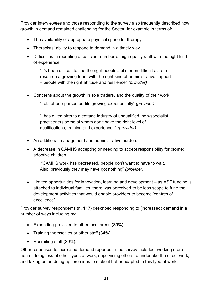Provider interviewees and those responding to the survey also frequently described how growth in demand remained challenging for the Sector, for example in terms of:

- The availability of appropriate physical space for therapy.
- Therapists' ability to respond to demand in a timely way.
- Difficulties in recruiting a sufficient number of high-quality staff with the right kind of experience.

"It's been difficult to find the right people….it's been difficult also to resource a growing team with the right kind of administrative support – people with the right attitude and resilience" *(provider)*

• Concerns about the growth in sole traders, and the quality of their work.

"Lots of one-person outfits growing exponentially" *(provider)*

"..has given birth to a cottage industry of unqualified, non-specialist practitioners some of whom don't have the right level of qualifications, training and experience.." *(provider)*

- An additional management and administrative burden.
- A decrease in CAMHS accepting or needing to accept responsibility for (some) adoptive children.

"CAMHS work has decreased, people don't want to have to wait. Also, previously they may have got nothing" *(provider)*

• Limited opportunities for innovation, learning and development – as ASF funding is attached to individual families, there was perceived to be less scope to fund the development activities that would enable providers to become 'centres of excellence'.

Provider survey respondents (n. 117) described responding to (increased) demand in a number of ways including by:

- Expanding provision to other local areas (39%).
- Training themselves or other staff (34%).
- Recruiting staff (29%).

Other responses to increased demand reported in the survey included: working more hours; doing less of other types of work; supervising others to undertake the direct work; and taking on or 'doing up' premises to make it better adapted to this type of work.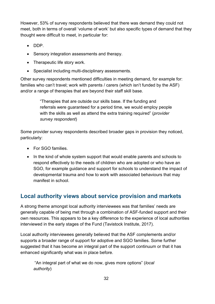However, 53% of survey respondents believed that there was demand they could not meet, both in terms of overall 'volume of work' but also specific types of demand that they thought were difficult to meet, in particular for:

- DDP.
- Sensory integration assessments and therapy.
- Therapeutic life story work.
- Specialist including multi-disciplinary assessments.

Other survey respondents mentioned difficulties in meeting demand, for example for: families who can't travel; work with parents / carers (which isn't funded by the ASF) and/or a range of therapies that are beyond their staff skill base.

> "Therapies that are outside our skills base. If the funding and referrals were guaranteed for a period time, we would employ people with the skills as well as attend the extra training required" (*provider survey respondent*)

Some provider survey respondents described broader gaps in provision they noticed, particularly:

- For SGO families
- In the kind of whole system support that would enable parents and schools to respond effectively to the needs of children who are adopted or who have an SGO, for example guidance and support for schools to understand the impact of developmental trauma and how to work with associated behaviours that may manifest in school.

## <span id="page-31-0"></span>**Local authority views about service provision and markets**

A strong theme amongst local authority interviewees was that families' needs are generally capable of being met through a combination of ASF-funded support and their own resources. This appears to be a key difference to the experience of local authorities interviewed in the early stages of the Fund (Tavistock Institute, 2017).

Local authority interviewees generally believed that the ASF complements and/or supports a broader range of support for adoptive and SGO families. Some further suggested that it has become an integral part of the support continuum or that it has enhanced significantly what was in place before.

"An integral part of what we do now, gives more options" (*local authority*)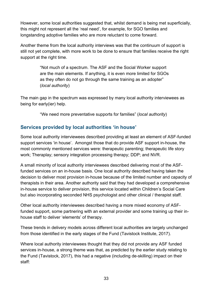However, some local authorities suggested that, whilst demand is being met superficially, this might not represent all the 'real need', for example, for SGO families and longstanding adoptive families who are more reluctant to come forward.

Another theme from the local authority interviews was that the continuum of support is still not yet complete, with more work to be done to ensure that families receive the right support at the right time.

> "Not much of a spectrum. The ASF and the Social Worker support are the main elements. If anything, it is even more limited for SGOs as they often do not go through the same training as an adopter" (*local authority*)

The main gap in the spectrum was expressed by many local authority interviewees as being for early(ier) help.

"We need more preventative supports for families" (*local authority*)

#### <span id="page-32-0"></span>**Services provided by local authorities 'in house'**

Some local authority interviewees described providing at least an element of ASF-funded support services 'in house'. Amongst those that do provide ASF support in-house, the most commonly mentioned services were: therapeutic parenting; therapeutic life story work; Theraplay; sensory integration processing therapy; DDP; and NVR.

A small minority of local authority interviewees described delivering most of the ASFfunded services on an in-house basis. One local authority described having taken the decision to deliver most provision in-house because of the limited number and capacity of therapists in their area. Another authority said that they had developed a comprehensive in-house service to deliver provision, this service located within Children's Social Care but also incorporating seconded NHS psychologist and other clinical / therapist staff.

Other local authority interviewees described having a more mixed economy of ASFfunded support, some partnering with an external provider and some training up their inhouse staff to deliver 'elements' of therapy.

These trends in delivery models across different local authorities are largely unchanged from those identified in the early stages of the Fund (Tavistock Institute, 2017).

Where local authority interviewees thought that they did not provide any ASF funded services in-house, a strong theme was that, as predicted by the earlier study relating to the Fund (Tavistock, 2017), this had a negative (including de-skilling) impact on their staff: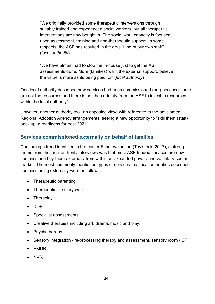"We originally provided some therapeutic interventions through suitably trained and experienced social workers, but all therapeutic interventions are now bought in. The social work capacity is focused upon assessment, training and non-therapeutic support. In some respects, the ASF has resulted in the de-skilling of our own staff" (*local authority*)

"We have almost had to stop the in-house just to get the ASF assessments done. More (families) want the external support, believe the value is more as its being paid for" (*local authority*)

One local authority described how services had been commissioned (out) because "there are not the resources and there is not the certainty from the ASF to invest in resources within the local authority".

However, another authority took an opposing view, with reference to the anticipated Regional Adoption Agency arrangements, seeing a new opportunity to "skill them (staff) back up in readiness for post 2021".

#### <span id="page-33-0"></span>**Services commissioned externally on behalf of families**

Continuing a trend identified in the earlier Fund evaluation (Tavistock, 2017), a strong theme from the local authority interviews was that most ASF-funded services are now commissioned by them externally from within an expanded private and voluntary sector market. The most commonly mentioned types of services that local authorities described commissioning externally were as follows:

- Therapeutic parenting.
- Therapeutic life story work.
- Theraplay.
- DDP.
- Specialist assessments.
- Creative therapies including art, drama, music and play.
- Psychotherapy.
- Sensory integration / re-processing therapy and assessment, sensory room / OT.
- EMDR.
- NVR.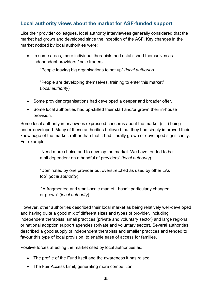#### <span id="page-34-0"></span>**Local authority views about the market for ASF-funded support**

Like their provider colleagues, local authority interviewees generally considered that the market had grown and developed since the inception of the ASF. Key changes in the market noticed by local authorities were:

• In some areas, more individual therapists had established themselves as independent providers / sole traders.

"People leaving big organisations to set up" (*local authority*)

"People are developing themselves, training to enter this market" (*local authority*)

- Some provider organisations had developed a deeper and broader offer.
- Some local authorities had up-skilled their staff and/or grown their in-house provision.

Some local authority interviewees expressed concerns about the market (still) being under-developed. Many of these authorities believed that they had simply improved their knowledge of the market, rather than that it had literally grown or developed significantly. For example:

> "Need more choice and to develop the market. We have tended to be a bit dependent on a handful of providers" (*local authority*)

"Dominated by one provider but overstretched as used by other LAs too" (*local authority*)

"A fragmented and small-scale market...hasn't particularly changed or grown" (*local authority*)

However, other authorities described their local market as being relatively well-developed and having quite a good mix of different sizes and types of provider, including independent therapists, small practices (private and voluntary sector) and large regional or national adoption support agencies (private and voluntary sector). Several authorities described a good supply of independent therapists and smaller practices and tended to favour this type of local provision, to enable ease of access for families.

Positive forces affecting the market cited by local authorities as:

- The profile of the Fund itself and the awareness it has raised.
- The Fair Access Limit, generating more competition.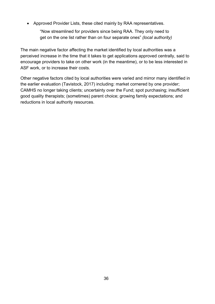• Approved Provider Lists, these cited mainly by RAA representatives.

"Now streamlined for providers since being RAA. They only need to get on the one list rather than on four separate ones" *(local authority)*

The main negative factor affecting the market identified by local authorities was a perceived increase in the time that it takes to get applications approved centrally, said to encourage providers to take on other work (in the meantime), or to be less interested in ASF work, or to increase their costs.

Other negative factors cited by local authorities were varied and mirror many identified in the earlier evaluation (Tavistock, 2017) including: market cornered by one provider; CAMHS no longer taking clients; uncertainty over the Fund; spot purchasing; insufficient good quality therapists; (sometimes) parent choice; growing family expectations; and reductions in local authority resources.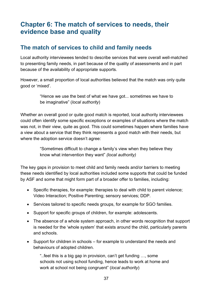# <span id="page-36-0"></span>**Chapter 6: The match of services to needs, their evidence base and quality**

## <span id="page-36-1"></span>**The match of services to child and family needs**

Local authority interviewees tended to describe services that were overall well-matched to presenting family needs, in part because of the quality of assessments and in part because of the availability of appropriate supports.

However, a small proportion of local authorities believed that the match was only quite good or 'mixed'.

> "Hence we use the best of what we have got... sometimes we have to be imaginative" (*local authority*)

Whether an overall good or quite good match is reported, local authority interviewees could often identify some specific exceptions or examples of situations where the match was not, in their view, quite as good. This could sometimes happen where families have a view about a service that they think represents a good match with their needs, but where the adoption service doesn't agree:

> "Sometimes difficult to change a family's view when they believe they know what intervention they want" *(local authority)*

The key gaps in provision to meet child and family needs and/or barriers to meeting these needs identified by local authorities included some supports that could be funded by ASF and some that might form part of a broader offer to families, including:

- Specific therapies, for example: therapies to deal with child to parent violence; Video Interaction; Positive Parenting; sensory services; DDP.
- Services tailored to specific needs groups, for example for SGO families.
- Support for specific groups of children, for example: adolescents.
- The absence of a whole system approach, in other words recognition that support is needed for the 'whole system' that exists around the child, particularly parents and schools.
- Support for children in schools for example to understand the needs and behaviours of adopted children.

"..feel this is a big gap in provision, can't get funding …, some schools not using school funding, hence leads to work at home and work at school not being congruent" (*local authority*)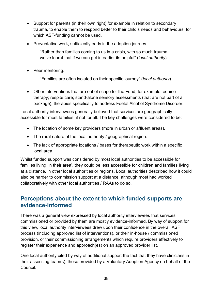- Support for parents (in their own right) for example in relation to secondary trauma, to enable them to respond better to their child's needs and behaviours, for which ASF-funding cannot be used.
- Preventative work, sufficiently early in the adoption journey.

"Rather than families coming to us in a crisis, with so much trauma, we've learnt that if we can get in earlier its helpful" (*local authority*)

• Peer mentoring.

"Families are often isolated on their specific journey" (*local authority*)

• Other interventions that are out of scope for the Fund, for example: equine therapy; respite care; stand-alone sensory assessments (that are not part of a package), therapies specifically to address Foetal Alcohol Syndrome Disorder.

Local authority interviewees generally believed that services are geographically accessible for most families, if not for all. The key challenges were considered to be:

- The location of some key providers (more in urban or affluent areas).
- The rural nature of the local authority / geographical region.
- The lack of appropriate locations / bases for therapeutic work within a specific local area.

Whilst funded support was considered by most local authorities to be accessible for families living 'in their area', they could be less accessible for children and families living at a distance, in other local authorities or regions. Local authorities described how it could also be harder to commission support at a distance, although most had worked collaboratively with other local authorities / RAAs to do so.

#### <span id="page-37-0"></span>**Perceptions about the extent to which funded supports are evidence-informed**

There was a general view expressed by local authority interviewees that services commissioned or provided by them are mostly evidence-informed. By way of support for this view, local authority interviewees drew upon their confidence in the overall ASF process (including approved list of interventions), or their in-house / commissioned provision, or their commissioning arrangements which require providers effectively to register their experience and approach(es) on an approved provider list.

One local authority cited by way of additional support the fact that they have clinicians in their assessing team(s), these provided by a Voluntary Adoption Agency on behalf of the Council.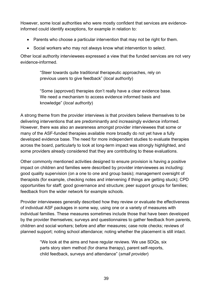However, some local authorities who were mostly confident that services are evidenceinformed could identify exceptions, for example in relation to:

- Parents who choose a particular intervention that may not be right for them.
- Social workers who may not always know what intervention to select.

Other local authority interviewees expressed a view that the funded services are not very evidence-informed.

> "Steer towards quite traditional therapeutic approaches, rely on previous users to give feedback" (*local authority*)

"Some (approved) therapies don't really have a clear evidence base. We need a mechanism to access evidence informed basis and knowledge" (*local authority*)

A strong theme from the provider interviews is that providers believe themselves to be delivering interventions that are predominantly and increasingly evidence informed. However, there was also an awareness amongst provider interviewees that some or many of the ASF-funded therapies available more broadly do not yet have a fully developed evidence base. The need for more independent studies to evaluate therapies across the board, particularly to look at long-term impact was strongly highlighted, and some providers already considered that they are contributing to these evaluations.

Other commonly mentioned activities designed to ensure provision is having a positive impact on children and families were described by provider interviewees as including: good quality supervision (on a one to one and group basis); management oversight of therapists (for example, checking notes and intervening if things are getting stuck); CPD opportunities for staff; good governance and structure; peer support groups for families; feedback from the wider network for example schools.

Provider interviewees generally described how they review or evaluate the effectiveness of individual ASF packages in some way, using one or a variety of measures with individual families. These measures sometimes include those that have been developed by the provider themselves; surveys and questionnaires to gather feedback from parents, children and social workers; before and after measures; case note checks; reviews of planned support; noting school attendance; noting whether the placement is still intact.

> "We look at the aims and have regular reviews. We use SDQs, six parts story stem method (for drama therapy), parent self-reports, child feedback, surveys and attendance" (*small provider*)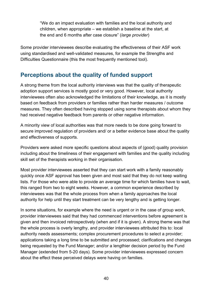"We do an impact evaluation with families and the local authority and children, when appropriate – we establish a baseline at the start, at the end and 6 months after case closure" (*large provider*)

Some provider interviewees describe evaluating the effectiveness of their ASF work using standardised and well-validated measures, for example the Strengths and Difficulties Questionnaire (this the most frequently mentioned tool).

#### <span id="page-39-0"></span>**Perceptions about the quality of funded support**

A strong theme from the local authority interviews was that the quality of therapeutic adoption support services is mostly good or very good. However, local authority interviewees often also acknowledged the limitations of their knowledge, as it is mostly based on feedback from providers or families rather than harder measures / outcome measures. They often described having stopped using some therapists about whom they had received negative feedback from parents or other negative information.

A minority view of local authorities was that more needs to be done going forward to secure improved regulation of providers and/ or a better evidence base about the quality and effectiveness of supports.

Providers were asked more specific questions about aspects of (good) quality provision including about the timeliness of their engagement with families and the quality including skill set of the therapists working in their organisation.

Most provider interviewees asserted that they can start work with a family reasonably quickly once ASF approval has been given and most said that they do not keep waiting lists. For those who were able to provide an average time for which families have to wait, this ranged from two to eight weeks. However, a common experience described by interviewees was that the whole process from when a family approaches the local authority for help until they start treatment can be very lengthy and is getting longer.

In some situations, for example where the need is urgent or in the case of group work, provider interviewees said that they had commenced interventions before agreement is given and then invoiced retrospectively (when and if it is given). A strong theme was that the whole process is overly lengthy, and provider interviewees attributed this to: local authority needs assessments; complex procurement procedures to select a provider; applications taking a long time to be submitted and processed; clarifications and changes being requested by the Fund Manager; and/or a lengthier decision period by the Fund Manager (extended from 5-20 days). Some provider interviewees expressed concern about the effect these perceived delays were having on families.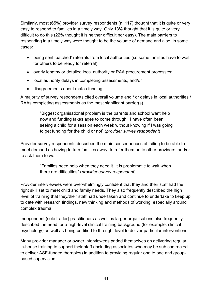Similarly, most (65%) provider survey respondents (n. 117) thought that it is quite or very easy to respond to families in a timely way. Only 13% thought that it is quite or very difficult to do this (22% thought it is neither difficult nor easy). The main barriers to responding in a timely way were thought to be the volume of demand and also, in some cases:

- being sent 'batched' referrals from local authorities (so some families have to wait for others to be ready for referral);
- overly lengthy or detailed local authority or RAA procurement processes;
- local authority delays in completing assessments; and/or
- disagreements about match funding.

A majority of survey respondents cited overall volume and / or delays in local authorities / RAAs completing assessments as the most significant barrier(s).

> "Biggest organisational problem is the parents and school want help now and funding takes ages to come through. I have often been seeing a child for a session each week without knowing if I was going to get funding for the child or not" (*provider survey respondent*)

Provider survey respondents described the main consequences of failing to be able to meet demand as having to turn families away, to refer them on to other providers, and/or to ask them to wait.

> "Families need help when they need it. It is problematic to wait when there are difficulties" (*provider survey respondent*)

Provider interviewees were overwhelmingly confident that they and their staff had the right skill set to meet child and family needs. They also frequently described the high level of training that they/their staff had undertaken and continue to undertake to keep up to date with research findings, new thinking and methods of working, especially around complex trauma.

Independent (sole trader) practitioners as well as larger organisations also frequently described the need for a high-level clinical training background (for example: clinical psychology) as well as being certified to the right level to deliver particular interventions.

Many provider manager or owner interviewees prided themselves on delivering regular in-house training to support their staff (including associates who may be sub contracted to deliver ASF-funded therapies) in addition to providing regular one to one and groupbased supervision.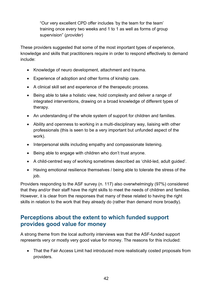"Our very excellent CPD offer includes 'by the team for the team' training once every two weeks and 1 to 1 as well as forms of group supervision" (*provider*)

These providers suggested that some of the most important types of experience, knowledge and skills that practitioners require in order to respond effectively to demand include:

- Knowledge of neuro development, attachment and trauma.
- Experience of adoption and other forms of kinship care.
- A clinical skill set and experience of the therapeutic process.
- Being able to take a holistic view, hold complexity and deliver a range of integrated interventions, drawing on a broad knowledge of different types of therapy.
- An understanding of the whole system of support for children and families.
- Ability and openness to working in a multi-disciplinary way, liaising with other professionals (this is seen to be a very important but unfunded aspect of the work).
- Interpersonal skills including empathy and compassionate listening.
- Being able to engage with children who don't trust anyone.
- A child-centred way of working sometimes described as 'child-led, adult guided'.
- Having emotional resilience themselves / being able to tolerate the stress of the job.

Providers responding to the ASF survey (n. 117) also overwhelmingly (97%) considered that they and/or their staff have the right skills to meet the needs of children and families. However, it is clear from the responses that many of these related to having the right skills in relation to the work that they already do (rather than demand more broadly).

## <span id="page-41-0"></span>**Perceptions about the extent to which funded support provides good value for money**

A strong theme from the local authority interviews was that the ASF-funded support represents very or mostly very good value for money. The reasons for this included:

• That the Fair Access Limit had introduced more realistically costed proposals from providers.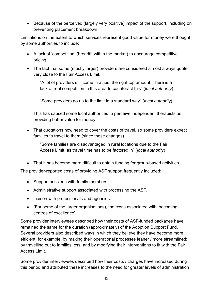• Because of the perceived (largely very positive) impact of the support, including on preventing placement breakdown.

Limitations on the extent to which services represent good value for money were thought by some authorities to include:

- A lack of 'competition' (breadth within the market) to encourage competitive pricing.
- The fact that some (mostly larger) providers are considered almost always quote very close to the Fair Access Limit.

"A lot of providers still come in at just the right top amount. There is a lack of real competition in this area to counteract this" (*local authority*)

"Some providers go up to the limit in a standard way" (*local authority*)

This has caused some local authorities to perceive independent therapists as providing better value for money.

• That quotations now need to cover the costs of travel, so some providers expect families to travel to them (since these changes).

"Some families are disadvantaged in rural locations due to the Fair Access Limit, as travel time has to be factored in" (*local authority*)

• That it has become more difficult to obtain funding for group-based activities.

The provider-reported costs of providing ASF support frequently included:

- Support sessions with family members.
- Administrative support associated with processing the ASF.
- Liaison with professionals and agencies.
- (For some of the larger organisations), the costs associated with 'becoming centres of excellence'.

Some provider interviewees described how their costs of ASF-funded packages have remained the same for the duration (approximately) of the Adoption Support Fund. Several providers also described ways in which they believe they have become more efficient, for example: by making their operational processes leaner / more streamlined; by travelling out to families less; and by modifying their interventions to fit with the Fair Access Limit.

Some provider interviewees described how their costs / charges have increased during this period and attributed these increases to the need for greater levels of administration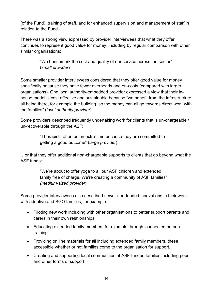(of the Fund), training of staff, and for enhanced supervision and management of staff in relation to the Fund.

There was a strong view expressed by provider interviewees that what they offer continues to represent good value for money, including by regular comparison with other similar organisations:

> "We benchmark the cost and quality of our service across the sector" (*small provider*)

Some smaller provider interviewees considered that they offer good value for money specifically because they have fewer overheads and on-costs (compared with larger organisations). One local authority-embedded provider expressed a view that their inhouse model is cost effective and sustainable because "we benefit from the infrastructure all being there, for example the building, so the money can all go towards direct work with the families" (*local authority provider*).

Some providers described frequently undertaking work for clients that is un-chargeable / un-recoverable through the ASF:

> "Therapists often put in extra time because they are committed to getting a good outcome" (*large provider*)

…or that they offer additional non-chargeable supports to clients that go beyond what the ASF funds:

> "We're about to offer yoga to all our ASF children and extended family free of charge. We're creating a community of ASF families" *(medium-sized provider)*

Some provider interviewees also described newer non-funded innovations in their work with adoptive and SGO families, for example:

- Piloting new work including with other organisations to better support parents and carers in their own relationships.
- Educating extended family members for example through 'connected person training'.
- Providing on line materials for all including extended family members, these accessible whether or not families come to the organisation for support.
- Creating and supporting local communities of ASF-funded families including peer and other forms of support.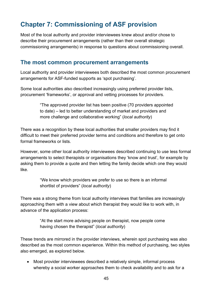# <span id="page-44-0"></span>**Chapter 7: Commissioning of ASF provision**

Most of the local authority and provider interviewees knew about and/or chose to describe their procurement arrangements (rather than their overall strategic commissioning arrangements) in response to questions about commissioning overall.

#### <span id="page-44-1"></span>**The most common procurement arrangements**

Local authority and provider interviewees both described the most common procurement arrangements for ASF-funded supports as 'spot purchasing'.

Some local authorities also described increasingly using preferred provider lists, procurement 'frameworks', or approval and vetting processes for providers.

> "The approved provider list has been positive (70 providers appointed to date) – led to better understanding of market and providers and more challenge and collaborative working" (*local authority*)

There was a recognition by these local authorities that smaller providers may find it difficult to meet their preferred provider terms and conditions and therefore to get onto formal frameworks or lists.

However, some other local authority interviewees described continuing to use less formal arrangements to select therapists or organisations they 'know and trust', for example by asking them to provide a quote and then letting the family decide which one they would like.

> "We know which providers we prefer to use so there is an informal shortlist of providers" (*local authority*)

There was a strong theme from local authority interviews that families are increasingly approaching them with a view about which therapist they would like to work with, in advance of the application process:

> "At the start more advising people on therapist, now people come having chosen the therapist" (*local authority*)

These trends are mirrored in the provider interviews, wherein spot purchasing was also described as the most common experience. Within this method of purchasing, two styles also emerged, as explored below.

• Most provider interviewees described a relatively simple, informal process whereby a social worker approaches them to check availability and to ask for a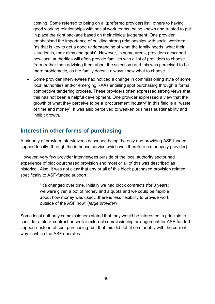costing. Some referred to being on a '(preferred provider) list', others to having good working relationships with social work teams, being known and trusted to put in place the right package based on their clinical judgement. One provider emphasised the importance of building strong relationships with social workers: "as that is key to get a good understanding of what the family needs, what their situation is, their aims and goals". However, in some areas, providers described how local authorities will often provide families with a list of providers to choose from (rather than advising them about the selection) and this was perceived to be more problematic, as the family doesn't always know what to choose.

• Some provider interviewees had noticed a change in commissioning style of some local authorities and/or emerging RAAs entailing spot purchasing through a formal competitive tendering process. These providers often expressed strong views that this has not been a helpful development. One provider expressed a view that the growth of what they perceive to be a 'procurement industry' in this field is a "waste of time and money". It was also perceived to weaken business sustainability and inhibit growth.

## <span id="page-45-0"></span>**Interest in other forms of purchasing**

A minority of provider interviewees described being the only one providing ASF-funded support locally (through the in-house service which was therefore a monopoly provider).

However, very few provider interviewees outside of the local authority sector had experience of block-purchased provision and most or all of this was described as historical. Also, it was not clear that any or all of this block purchased provision related specifically to ASF-funded support.

> "It's changed over time. Initially we had block contracts (for 3 years), we were given a pot of money and a quota and we could be flexible about how money was used…there is less flexibility to provide work outside of the ASF now" (*large provider*)

Some local authority commissioners stated that they would be interested in principle to consider a block contract or similar external commissioning arrangement for ASF-funded support (instead of spot purchasing) but that this did not fit comfortably with the current way in which the ASF operates.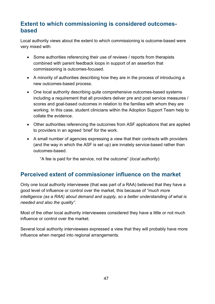## <span id="page-46-0"></span>**Extent to which commissioning is considered outcomesbased**

Local authority views about the extent to which commissioning is outcome-based were very mixed with:

- Some authorities referencing their use of reviews / reports from therapists combined with parent feedback loops in support of an assertion that commissioning is outcomes-focused.
- A minority of authorities describing how they are in the process of introducing a new outcomes-based process.
- One local authority describing quite comprehensive outcomes-based systems including a requirement that all providers deliver pre and post service measures / scores and goal-based outcomes in relation to the families with whom they are working. In this case, student clinicians within the Adoption Support Team help to collate the evidence.
- Other authorities referencing the outcomes from ASF applications that are applied to providers in an agreed 'brief' for the work.
- A small number of agencies expressing a view that their contracts with providers (and the way in which the ASF is set up) are innately service-based rather than outcomes-based.

"A fee is paid for the service, not the outcome" (*local authority*)

## <span id="page-46-1"></span>**Perceived extent of commissioner influence on the market**

Only one local authority interviewee (that was part of a RAA) believed that they have a good level of influence or control over the market, this because of *"much more intelligence (as a RAA) about demand and supply, so a better understanding of what is needed and also the quality"*.

Most of the other local authority interviewees considered they have a little or not much influence or control over the market.

Several local authority interviewees expressed a view that they will probably have more influence when merged into regional arrangements.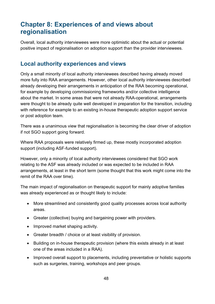# <span id="page-47-0"></span>**Chapter 8: Experiences of and views about regionalisation**

Overall, local authority interviewees were more optimistic about the actual or potential positive impact of regionalisation on adoption support than the provider interviewees.

#### <span id="page-47-1"></span>**Local authority experiences and views**

Only a small minority of local authority interviewees described having already moved more fully into RAA arrangements. However, other local authority interviewees described already developing their arrangements in anticipation of the RAA becoming operational, for example by developing commissioning frameworks and/or collective intelligence about the market. In some areas that were not already RAA-operational, arrangements were thought to be already quite well developed in preparation for the transition, including with reference for example to an existing in-house therapeutic adoption support service or post adoption team.

There was a unanimous view that regionalisation is becoming the clear driver of adoption if not SGO support going forward.

Where RAA proposals were relatively firmed up, these mostly incorporated adoption support (including ASF-funded support).

However, only a minority of local authority interviewees considered that SGO work relating to the ASF was already included or was expected to be included in RAA arrangements, at least in the short term (some thought that this work might come into the remit of the RAA over time).

The main impact of regionalisation on therapeutic support for mainly adoptive families was already experienced as or thought likely to include:

- More streamlined and consistently good quality processes across local authority areas.
- Greater (collective) buying and bargaining power with providers.
- Improved market shaping activity.
- Greater breadth / choice or at least visibility of provision.
- Building on in-house therapeutic provision (where this exists already in at least one of the areas included in a RAA).
- Improved overall support to placements, including preventative or holistic supports such as surgeries, training, workshops and peer groups.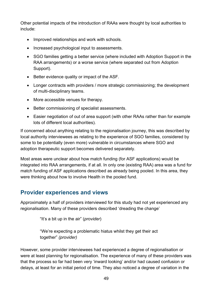Other potential impacts of the introduction of RAAs were thought by local authorities to include:

- Improved relationships and work with schools.
- Increased psychological input to assessments.
- SGO families getting a better service (where included with Adoption Support in the RAA arrangements) or a worse service (where separated out from Adoption Support).
- Better evidence quality or impact of the ASF.
- Longer contracts with providers / more strategic commissioning; the development of multi-disciplinary teams.
- More accessible venues for therapy.
- Better commissioning of specialist assessments.
- Easier negotiation of out of area support (with other RAAs rather than for example lots of different local authorities).

If concerned about anything relating to the regionalisation journey, this was described by local authority interviewees as relating to the experience of SGO families, considered by some to be potentially (even more) vulnerable in circumstances where SGO and adoption therapeutic support becomes delivered separately.

Most areas were unclear about how match funding (for ASF applications) would be integrated into RAA arrangements, if at all. In only one (existing RAA) area was a fund for match funding of ASF applications described as already being pooled. In this area, they were thinking about how to involve Health in the pooled fund.

#### <span id="page-48-0"></span>**Provider experiences and views**

Approximately a half of providers interviewed for this study had not yet experienced any regionalisation. Many of these providers described 'dreading the change'

"It's a bit up in the air" (*provider*)

"We're expecting a problematic hiatus whilst they get their act together" *(provider)*

However, some provider interviewees had experienced a degree of regionalisation or were at least planning for regionalisation. The experience of many of these providers was that the process so far had been very 'inward looking' and/or had caused confusion or delays, at least for an initial period of time. They also noticed a degree of variation in the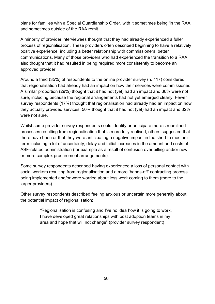plans for families with a Special Guardianship Order, with it sometimes being 'in the RAA' and sometimes outside of the RAA remit.

A minority of provider interviewees thought that they had already experienced a fuller process of regionalisation. These providers often described beginning to have a relatively positive experience, including a better relationship with commissioners, better communications. Many of those providers who had experienced the transition to a RAA also thought that it had resulted in being required more consistently to become an approved provider.

Around a third (35%) of respondents to the online provider survey (n. 117) considered that regionalisation had already had an impact on how their services were commissioned. A similar proportion (29%) thought that it had not (yet) had an impact and 36% were not sure, including because the regional arrangements had not yet emerged clearly. Fewer survey respondents (17%) thought that regionalisation had already had an impact on how they actually provided services. 50% thought that it had not (yet) had an impact and 32% were not sure.

Whilst some provider survey respondents could identify or anticipate more streamlined processes resulting from regionalisation that is more fully realised, others suggested that there have been or that they were anticipating a negative impact in the short to medium term including a lot of uncertainty, delay and initial increases in the amount and costs of ASF-related administration (for example as a result of confusion over billing and/or new or more complex procurement arrangements).

Some survey respondents described having experienced a loss of personal contact with social workers resulting from regionalisation and a more 'hands-off' contracting process being implemented and/or were worried about less work coming to them (more to the larger providers).

Other survey respondents described feeling anxious or uncertain more generally about the potential impact of regionalisation:

> *"*Regionalisation is confusing and I've no idea how it is going to work. I have developed great relationships with post adoption teams in my area and hope that will not change" (provider survey respondent)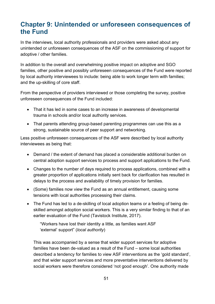# <span id="page-50-0"></span>**Chapter 9: Unintended or unforeseen consequences of the Fund**

In the interviews, local authority professionals and providers were asked about any unintended or unforeseen consequences of the ASF on the commissioning of support for adoptive / other families.

In addition to the overall and overwhelming positive impact on adoptive and SGO families, other positive and possibly unforeseen consequences of the Fund were reported by local authority interviewees to include: being able to work longer term with families; and the up-skilling of core staff.

From the perspective of providers interviewed or those completing the survey, positive unforeseen consequences of the Fund included:

- That it has led in some cases to an increase in awareness of developmental trauma in schools and/or local authority services.
- That parents attending group-based parenting programmes can use this as a strong, sustainable source of peer support and networking.

Less positive unforeseen consequences of the ASF were described by local authority interviewees as being that:

- Demand / the extent of demand has placed a considerable additional burden on central adoption support services to process and support applications to the Fund.
- Changes to the number of days required to process applications, combined with a greater proportion of applications initially sent back for clarification has resulted in delays to the process and availability of timely provision for families.
- (Some) families now view the Fund as an annual entitlement, causing some tensions with local authorities processing their claims.
- The Fund has led to a de-skilling of local adoption teams or a feeling of being deskilled amongst adoption social workers. This is a very similar finding to that of an earlier evaluation of the Fund (Tavistock Institute, 2017).

"Workers have lost their identity a little, as families want ASF 'external' support" (*local authority*)

This was accompanied by a sense that wider support services for adoptive families have been de-valued as a result of the Fund – some local authorities described a tendency for families to view ASF interventions as the 'gold standard', and that wider support services and more preventative interventions delivered by social workers were therefore considered 'not good enough'. One authority made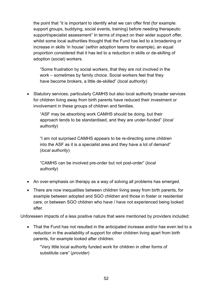the point that "it is important to identify what we can offer first (for example: support groups, buddying, social events, training) before needing therapeutic support/specialist assessment" In terms of impact on their wider support offer, whilst some local authorities thought that the Fund has led to a broadening or increase in skills 'in house' (within adoption teams for example), an equal proportion considered that it has led to a reduction in skills or de-skilling of adoption (social) workers.

"Some frustration by social workers, that they are not involved in the work – sometimes by family choice. Social workers feel that they have become brokers, a little de-skilled" (*local authority*)

• Statutory services, particularly CAMHS but also local authority broader services for children living away from birth parents have reduced their investment or involvement in these groups of children and families.

"ASF may be absorbing work CAMHS should be doing, but their approach tends to be standardised, and they are under-funded" (*local authority*)

"I am not surprised CAMHS appears to be re-directing some children into the ASF as it is a specialist area and they have a lot of demand" (*local authority*)

"CAMHS can be involved pre-order but not post-order" (*local authority*)

- An over-emphasis on therapy as a way of solving all problems has emerged.
- There are now inequalities between children living away from birth parents, for example between adopted and SGO children and those in foster or residential care, or between SGO children who have / have not experienced being looked after.

Unforeseen impacts of a less positive nature that were mentioned by providers included:

• That the Fund has not resulted in the anticipated increase and/or has even led to a reduction in the availability of support for other children living apart from birth parents, for example looked after children.

"Very little local authority funded work for children in other forms of substitute care" (*provider*)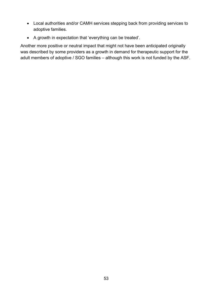- Local authorities and/or CAMH services stepping back from providing services to adoptive families.
- A growth in expectation that 'everything can be treated'.

Another more positive or neutral impact that might not have been anticipated originally was described by some providers as a growth in demand for therapeutic support for the adult members of adoptive / SGO families – although this work is not funded by the ASF.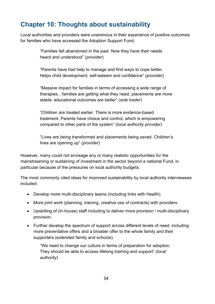# <span id="page-53-0"></span>**Chapter 10: Thoughts about sustainability**

Local authorities and providers were unanimous in their experience of positive outcomes for families who have accessed the Adoption Support Fund.

> "Families felt abandoned in the past. Now they have their needs heard and understood" (*provider*)

> "Parents have had help to manage and find ways to cope better. Helps child development, self-esteem and confidence" (*provider*)

"Massive impact for families in terms of accessing a wide range of therapies…families are getting what they need, placements are more stable, educational outcomes are better" (*sole trader*)

"Children are treated earlier. There is more evidence-based treatment. Parents have choice and control, which is empowering compared to other parts of the system" (*local authority provider*)

"Lives are being transformed and placements being saved. Children's lives are opening up" (*provider*)

However, many could not envisage any or many realistic opportunities for the mainstreaming or sustaining of investment in the sector beyond a national Fund, in particular because of the pressures on local authority budgets.

The most commonly cited ideas for improved sustainability by local authority interviewees included:

- Develop more multi-disciplinary teams (including links with Health).
- More joint work (planning, training, creative use of contracts) with providers.
- Upskilling of (in-house) staff including to deliver more provision / multi-disciplinary provision.
- Further develop the spectrum of support across different levels of need, including more preventative offers and a broader offer to the whole family and their supporters (extended family and schools).

"We need to change our culture in terms of preparation for adoption. They should be able to access lifelong training and support" (*local authority*)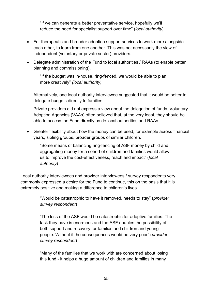"If we can generate a better preventative service, hopefully we'll reduce the need for specialist support over time" (*local authority*)

- For therapeutic and broader adoption support services to work more alongside each other, to learn from one another. This was not necessarily the view of independent (voluntary or private sector) providers.
- Delegate administration of the Fund to local authorities / RAAs (to enable better planning and commissioning).

"If the budget was in-house, ring-fenced, we would be able to plan more creatively" *(local authority)*

Alternatively, one local authority interviewee suggested that it would be better to delegate budgets directly to families.

Private providers did not express a view about the delegation of funds. Voluntary Adoption Agencies (VAAs) often believed that, at the very least, they should be able to access the Fund directly as do local authorities and RAAs.

• Greater flexibility about how the money can be used, for example across financial years, sibling groups, broader groups of similar children.

"Some means of balancing ring-fencing of ASF money by child and aggregating money for a cohort of children and families would allow us to improve the cost-effectiveness, reach and impact" (*local authority*)

Local authority interviewees and provider interviewees / survey respondents very commonly expressed a desire for the Fund to continue, this on the basis that it is extremely positive and making a difference to children's lives.

> "Would be catastrophic to have it removed, needs to stay" (*provider survey respondent*)

"The loss of the ASF would be catastrophic for adoptive families. The task they have is enormous and the ASF enables the possibility of both support and recovery for families and children and young people. Without it the consequences would be very poor" (*provider survey respondent*)

"Many of the families that we work with are concerned about losing this fund - it helps a huge amount of children and families in many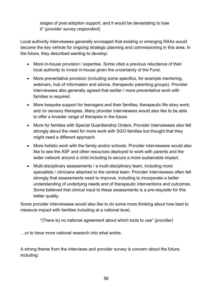stages of post adoption support, and it would be devastating to lose it" (*provider survey respondent*)

Local authority interviewees generally envisaged that existing or emerging RAAs would become the key vehicle for ongoing strategic planning and commissioning in this area. In the future, they described wanting to develop:

- More in-house provision / expertise. Some cited a previous reluctance of their local authority to invest in-house given the uncertainty of the Fund.
- More preventative provision (including some specifics, for example mentoring, webinars, hub of information and advice, therapeutic parenting groups). Provider interviewees also generally agreed that earlier / more preventative work with families is required.
- More bespoke support for teenagers and their families; therapeutic life story work; and /or sensory therapies. Many provider interviewees would also like to be able to offer a broader range of therapies in the future.
- More for families with Special Guardianship Orders. Provider interviewees also felt strongly about the need for more work with SGO families but thought that they might need a different approach.
- More holistic work with the family and/or schools. Provider interviewees would also like to see the ASF and other resources deployed to work with parents and the wider network around a child including to secure a more sustainable impact.
- Multi-disciplinary assessments / a multi-disciplinary team, including more specialists / clinicians attached to the central team. Provider interviewees often felt strongly that assessments need to improve, including to incorporate a better understanding of underlying needs and of therapeutic interventions and outcomes. Some believed that clinical input to these assessments is a pre-requisite for this better quality.

Some provider interviewees would also like to do some more thinking about how best to measure impact with families including at a national level,

"(There is) no national agreement about which tools to use" (*provider*)

…or to have more national research into what works.

A strong theme from the interviews and provider survey is concern about the future, including: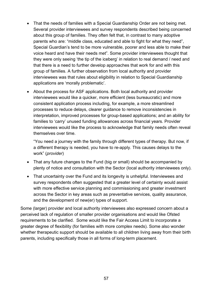- That the needs of families with a Special Guardianship Order are not being met. Several provider interviewees and survey respondents described being concerned about this group of families. They often felt that, in contrast to many adoptive parents who are: "middle class, educated and able to fight for what they need", Special Guardian's tend to be more vulnerable, poorer and less able to make their voice heard and have their needs met". Some provider interviewees thought that they were only seeing 'the tip of the iceberg' in relation to real demand / need and that there is a need to further develop approaches that work for and with this group of families. A further observation from local authority and provider interviewees was that rules about eligibility in relation to Special Guardianship applications are 'morally problematic'.
- About the process for ASF applications. Both local authority and provider interviewees would like a quicker, more efficient (less bureaucratic) and more consistent application process including, for example, a more streamlined processes to reduce delays, clearer guidance to remove inconsistencies in interpretation, improved processes for group-based applications; and an ability for families to 'carry' unused funding allowances across financial years. Provider interviewees would like the process to acknowledge that family needs often reveal themselves over time.

"You need a journey with the family through different types of therapy. But now, if a different therapy is needed, you have to re-apply. This causes delays to the work" (*provider*)

- That any future changes to the Fund (big or small) should be accompanied by plenty of notice and consultation with the Sector (local authority interviewees only).
- That uncertainty over the Fund and its longevity is unhelpful. Interviewees and survey respondents often suggested that a greater level of certainty would assist with more effective service planning and commissioning and greater investment across the Sector in key areas such as preventative services, quality assurance, and the development of new(er) types of support.

Some (larger) provider and local authority interviewees also expressed concern about a perceived lack of regulation of smaller provider organisations and would like Ofsted requirements to be clarified. Some would like the Fair Access Limit to incorporate a greater degree of flexibility (for families with more complex needs). Some also wonder whether therapeutic support should be available to all children living away from their birth parents, including specifically those in all forms of long-term placement.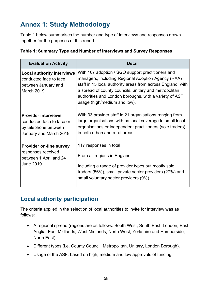# <span id="page-57-0"></span>**Annex 1: Study Methodology**

Table 1 below summarises the number and type of interviews and responses drawn together for the purposes of this report.

| <b>Evaluation Activity</b>                                                                                | <b>Detail</b>                                                                                                                                                                                                                                                                                                             |
|-----------------------------------------------------------------------------------------------------------|---------------------------------------------------------------------------------------------------------------------------------------------------------------------------------------------------------------------------------------------------------------------------------------------------------------------------|
| <b>Local authority interviews</b><br>conducted face to face<br>between January and<br>March 2019          | With 107 adoption / SGO support practitioners and<br>managers, including Regional Adoption Agency (RAA)<br>staff in 15 local authority areas from across England, with<br>a spread of county councils, unitary and metropolitan<br>authorities and London boroughs, with a variety of ASF<br>usage (high/medium and low). |
| <b>Provider interviews</b><br>conducted face to face or<br>by telephone between<br>January and March 2019 | With 33 provider staff in 21 organisations ranging from<br>large organisations with national coverage to small local<br>organisations or independent practitioners (sole traders),<br>in both urban and rural areas.                                                                                                      |
| <b>Provider on-line survey</b><br>responses received<br>between 1 April and 24<br><b>June 2019</b>        | 117 responses in total<br>From all regions in England<br>Including a range of provider types but mostly sole<br>traders (56%), small private sector providers (27%) and<br>small voluntary sector providers (9%)                                                                                                          |

|  | Table 1: Summary Type and Number of Interviews and Survey Responses |  |  |  |
|--|---------------------------------------------------------------------|--|--|--|
|--|---------------------------------------------------------------------|--|--|--|

## <span id="page-57-1"></span>**Local authority participation**

The criteria applied in the selection of local authorities to invite for interview was as follows:

- A regional spread (regions are as follows: South West, South East, London, East Anglia, East Midlands, West Midlands, North West, Yorkshire and Humberside, North East).
- Different types (i.e. County Council, Metropolitan, Unitary, London Borough).
- Usage of the ASF: based on high, medium and low approvals of funding.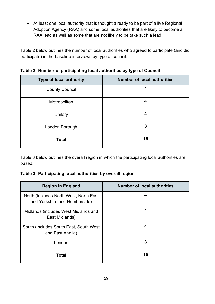• At least one local authority that is thought already to be part of a live Regional Adoption Agency (RAA) and some local authorities that are likely to become a RAA lead as well as some that are not likely to be take such a lead.

Table 2 below outlines the number of local authorities who agreed to participate (and did participate) in the baseline interviews by type of council.

| <b>Type of local authority</b> | <b>Number of local authorities</b> |
|--------------------------------|------------------------------------|
| <b>County Council</b>          | 4                                  |
| Metropolitan                   | 4                                  |
| Unitary                        | 4                                  |
| London Borough                 | 3                                  |
| <b>Total</b>                   | 15                                 |

**Table 2: Number of participating local authorities by type of Council**

Table 3 below outlines the overall region in which the participating local authorities are based.

#### **Table 3: Participating local authorities by overall region**

| <b>Region in England</b>                                                | <b>Number of local authorities</b> |
|-------------------------------------------------------------------------|------------------------------------|
| North (includes North West, North East<br>and Yorkshire and Humberside) | 4                                  |
| Midlands (includes West Midlands and<br>East Midlands)                  | 4                                  |
| South (includes South East, South West<br>and East Anglia)              | 4                                  |
| London                                                                  | 3                                  |
| <b>Total</b>                                                            | 15                                 |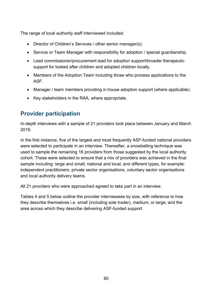The range of local authority staff interviewed included:

- Director of Children's Services / other senior manager(s).
- Service or Team Manager with responsibility for adoption / special guardianship.
- Lead commissioner/procurement lead for adoption support/broader therapeutic support for looked after children and adopted children locally.
- Members of the Adoption Team including those who process applications to the ASF.
- Manager / team members providing in house adoption support (where applicable).
- Key stakeholders in the RAA, where appropriate.

## <span id="page-59-0"></span>**Provider participation**

In-depth interviews with a sample of 21 providers took place between January and March 2019.

In the first instance, five of the largest and most frequently ASF-funded national providers were selected to participate in an interview. Thereafter, a snowballing technique was used to sample the remaining 16 providers from those suggested by the local authority cohort. These were selected to ensure that a mix of providers was achieved in the final sample including: large and small; national and local; and different types, for example: independent practitioners, private sector organisations, voluntary sector organisations and local authority delivery teams.

All 21 providers who were approached agreed to take part in an interview.

Tables 4 and 5 below outline the provider interviewees by size, with reference to how they describe themselves i.e. small (including sole trader), medium, or large; and the area across which they describe delivering ASF-funded support.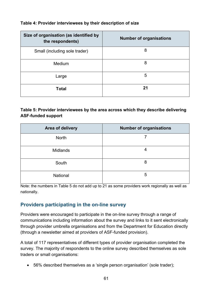#### **Table 4: Provider interviewees by their description of size**

| Size of organisation (as identified by<br>the respondents) | <b>Number of organisations</b> |
|------------------------------------------------------------|--------------------------------|
| Small (including sole trader)                              | 8                              |
| Medium                                                     | 8                              |
| Large                                                      | 5                              |
| <b>Total</b>                                               | 21                             |

#### **Table 5: Provider interviewees by the area across which they describe delivering ASF-funded support**

| <b>Area of delivery</b> | <b>Number of organisations</b> |
|-------------------------|--------------------------------|
| <b>North</b>            |                                |
| <b>Midlands</b>         |                                |
| South                   | 8                              |
| National                | 5                              |

Note: the numbers in Table 5 do not add up to 21 as some providers work regionally as well as nationally.

#### <span id="page-60-0"></span>**Providers participating in the on-line survey**

Providers were encouraged to participate in the on-line survey through a range of communications including information about the survey and links to it sent electronically through provider umbrella organisations and from the Department for Education directly (through a newsletter aimed at providers of ASF-funded provision).

A total of 117 representatives of different types of provider organisation completed the survey. The majority of respondents to the online survey described themselves as sole traders or small organisations:

• 56% described themselves as a 'single person organisation' (sole trader);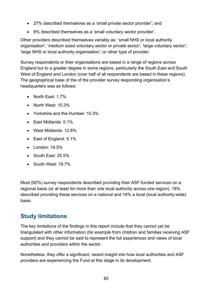- 27% described themselves as a 'small private sector provider'; and
- 9% described themselves as a 'small voluntary sector provider'.

Other providers described themselves variably as: 'small NHS or local authority organisation'; 'medium sized voluntary sector or private sector'; 'large voluntary sector'; 'large NHS or local authority organisation'; or other type of provider.

Survey respondents or their organisations are based in a range of regions across England but to a greater degree in some regions, particularly the South East and South West of England and London (over half of all respondents are based in these regions). The geographical base of the of the provider survey responding organisation's headquarters was as follows:

- North East: 1.7%
- North West: 10.3%
- Yorkshire and the Humber: 10.3%
- East Midlands: 5.1%
- West Midlands: 12.8%
- East of England: 5.1%
- London: 14.5%
- South East: 20.5%
- South West: 19.7%

Most (62%) survey respondents described providing their ASF-funded services on a regional basis (or at least for more than one local authority across one region). 18% described providing these services on a national and 18% a local (local authority-wide) basis.

## <span id="page-61-0"></span>**Study limitations**

The key limitations of the findings in this report include that they cannot yet be triangulated with other information (for example from children and families receiving ASF support) and they cannot be said to represent the full experiences and views of local authorities and providers within the sector.

Nonetheless, they offer a significant, recent insight into how local authorities and ASF providers are experiencing the Fund at this stage in its development.